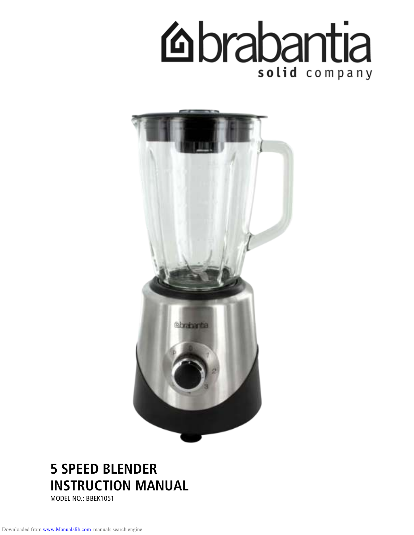



# **5 SPEED BLENDER INSTRUCTION MANUAL**  MODEL NO.: BBEK1051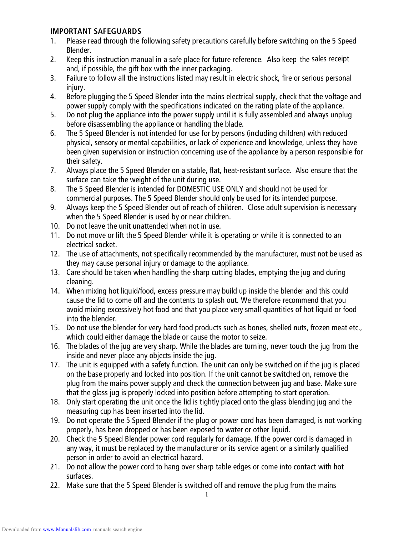### **IMPORTANT SAFEGUARDS**

- 1. Please read through the following safety precautions carefully before switching on the 5 Speed Blender.
- 2. Keep this instruction manual in a safe place for future reference. Also keep the sales receipt and, if possible, the gift box with the inner packaging.
- 3. Failure to follow all the instructions listed may result in electric shock, fire or serious personal injury.
- 4. Before plugging the 5 Speed Blender into the mains electrical supply, check that the voltage and power supply comply with the specifications indicated on the rating plate of the appliance.
- 5. Do not plug the appliance into the power supply until it is fully assembled and always unplug before disassembling the appliance or handling the blade.
- 6. The 5 Speed Blender is not intended for use for by persons (including children) with reduced physical, sensory or mental capabilities, or lack of experience and knowledge, unless they have been given supervision or instruction concerning use of the appliance by a person responsible for their safety.
- 7. Always place the 5 Speed Blender on a stable, flat, heat-resistant surface. Also ensure that the surface can take the weight of the unit during use.
- 8. The 5 Speed Blender is intended for DOMESTIC USE ONLY and should not be used for commercial purposes. The 5 Speed Blender should only be used for its intended purpose.
- 9. Always keep the 5 Speed Blender out of reach of children. Close adult supervision is necessary when the 5 Speed Blender is used by or near children.
- 10. Do not leave the unit unattended when not in use.
- 11. Do not move or lift the 5 Speed Blender while it is operating or while it is connected to an electrical socket.
- 12. The use of attachments, not specifically recommended by the manufacturer, must not be used as they may cause personal injury or damage to the appliance.
- 13. Care should be taken when handling the sharp cutting blades, emptying the jug and during cleaning.
- 14. When mixing hot liquid/food, excess pressure may build up inside the blender and this could cause the lid to come off and the contents to splash out. We therefore recommend that you avoid mixing excessively hot food and that you place very small quantities of hot liquid or food into the blender.
- 15. Do not use the blender for very hard food products such as bones, shelled nuts, frozen meat etc., which could either damage the blade or cause the motor to seize.
- 16. The blades of the jug are very sharp. While the blades are turning, never touch the jug from the inside and never place any objects inside the jug.
- 17. The unit is equipped with a safety function. The unit can only be switched on if the jug is placed on the base properly and locked into position. If the unit cannot be switched on, remove the plug from the mains power supply and check the connection between jug and base. Make sure that the glass jug is properly locked into position before attempting to start operation.
- 18. Only start operating the unit once the lid is tightly placed onto the glass blending jug and the measuring cup has been inserted into the lid.
- 19. Do not operate the 5 Speed Blender if the plug or power cord has been damaged, is not working properly, has been dropped or has been exposed to water or other liquid.
- 20. Check the 5 Speed Blender power cord regularly for damage. If the power cord is damaged in any way, it must be replaced by the manufacturer or its service agent or a similarly qualified person in order to avoid an electrical hazard.
- 21. Do not allow the power cord to hang over sharp table edges or come into contact with hot surfaces.
- 22. Make sure that the 5 Speed Blender is switched off and remove the plug from the mains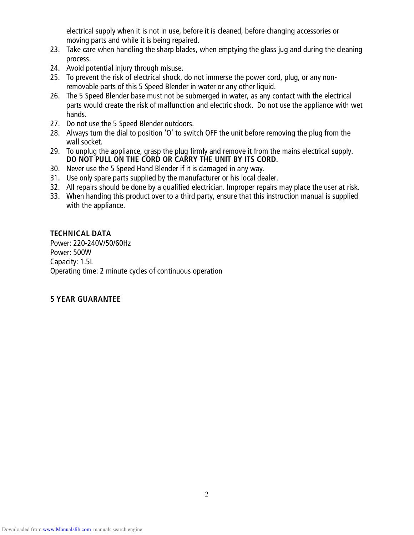electrical supply when it is not in use, before it is cleaned, before changing accessories or moving parts and while it is being repaired.

- 23. Take care when handling the sharp blades, when emptying the glass jug and during the cleaning process.
- 24. Avoid potential injury through misuse.
- 25. To prevent the risk of electrical shock, do not immerse the power cord, plug, or any nonremovable parts of this 5 Speed Blender in water or any other liquid.
- 26. The 5 Speed Blender base must not be submerged in water, as any contact with the electrical parts would create the risk of malfunction and electric shock. Do not use the appliance with wet hands.
- 27. Do not use the 5 Speed Blender outdoors.
- 28. Always turn the dial to position 'O' to switch OFF the unit before removing the plug from the wall socket.
- 29. To unplug the appliance, grasp the plug firmly and remove it from the mains electrical supply. **DO NOT PULL ON THE CORD OR CARRY THE UNIT BY ITS CORD.**
- 30. Never use the 5 Speed Hand Blender if it is damaged in any way.
- 31. Use only spare parts supplied by the manufacturer or his local dealer.
- 32. All repairs should be done by a qualified electrician. Improper repairs may place the user at risk.
- 33. When handing this product over to a third party, ensure that this instruction manual is supplied with the appliance.

### **TECHNICAL DATA**

Power: 220-240V/50/60Hz Power: 500W Capacity: 1.5L Operating time: 2 minute cycles of continuous operation

# **5 YEAR GUARANTEE**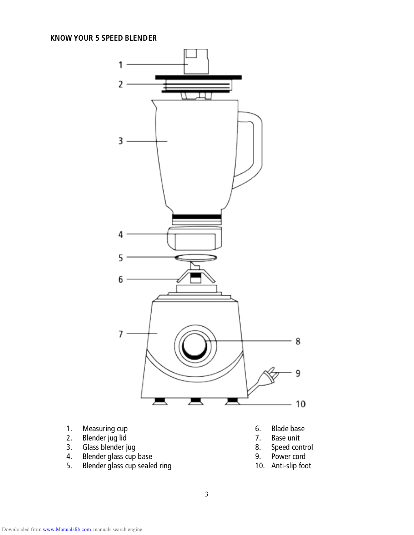

- 1. Measuring cup
- 2. Blender jug lid
- 3. Glass blender jug
- 4. Blender glass cup base
- 5. Blender glass cup sealed ring
- 6. Blade base
- 7. Base unit
- 8. Speed control
- 9. Power cord
- 10. Anti-slip foot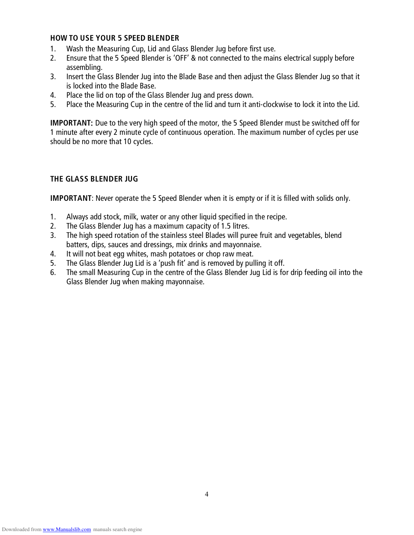#### **HOW TO USE YOUR 5 SPEED BLENDER**

- 1. Wash the Measuring Cup, Lid and Glass Blender Jug before first use.
- 2. Ensure that the 5 Speed Blender is 'OFF' & not connected to the mains electrical supply before assembling.
- 3. Insert the Glass Blender Jug into the Blade Base and then adjust the Glass Blender Jug so that it is locked into the Blade Base.
- 4. Place the lid on top of the Glass Blender Jug and press down.
- 5. Place the Measuring Cup in the centre of the lid and turn it anti-clockwise to lock it into the Lid.

**IMPORTANT**: Due to the very high speed of the motor, the 5 Speed Blender must be switched off for 1 minute after every 2 minute cycle of continuous operation. The maximum number of cycles per use should be no more that 10 cycles.

# **THE GLASS BLENDER JUG**

**IMPORTANT**: Never operate the 5 Speed Blender when it is empty or if it is filled with solids only.

- 1. Always add stock, milk, water or any other liquid specified in the recipe.
- 2. The Glass Blender Jug has a maximum capacity of 1.5 litres.
- 3. The high speed rotation of the stainless steel Blades will puree fruit and vegetables, blend batters, dips, sauces and dressings, mix drinks and mayonnaise.
- 4. It will not beat egg whites, mash potatoes or chop raw meat.
- 5. The Glass Blender Jug Lid is a 'push fit' and is removed by pulling it off.
- 6. The small Measuring Cup in the centre of the Glass Blender Jug Lid is for drip feeding oil into the Glass Blender Jug when making mayonnaise.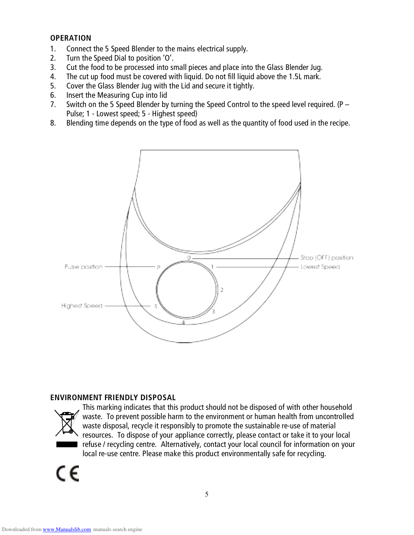#### **OPERATION**

- 1. Connect the 5 Speed Blender to the mains electrical supply.
- 2. Turn the Speed Dial to position 'O'.
- 3. Cut the food to be processed into small pieces and place into the Glass Blender Jug.
- 4. The cut up food must be covered with liquid. Do not fill liquid above the 1.5L mark.
- 5. Cover the Glass Blender Jug with the Lid and secure it tightly.
- 6. Insert the Measuring Cup into lid
- 7. Switch on the 5 Speed Blender by turning the Speed Control to the speed level required. (P Pulse; 1 - Lowest speed; 5 - Highest speed)
- 8. Blending time depends on the type of food as well as the quantity of food used in the recipe.



#### **ENVIRONMENT FRIENDLY DISPOSAL**



This marking indicates that this product should not be disposed of with other household waste. To prevent possible harm to the environment or human health from uncontrolled waste disposal, recycle it responsibly to promote the sustainable re-use of material resources. To dispose of your appliance correctly, please contact or take it to your local refuse / recycling centre. Alternatively, contact your local council for information on your local re-use centre. Please make this product environmentally safe for recycling.